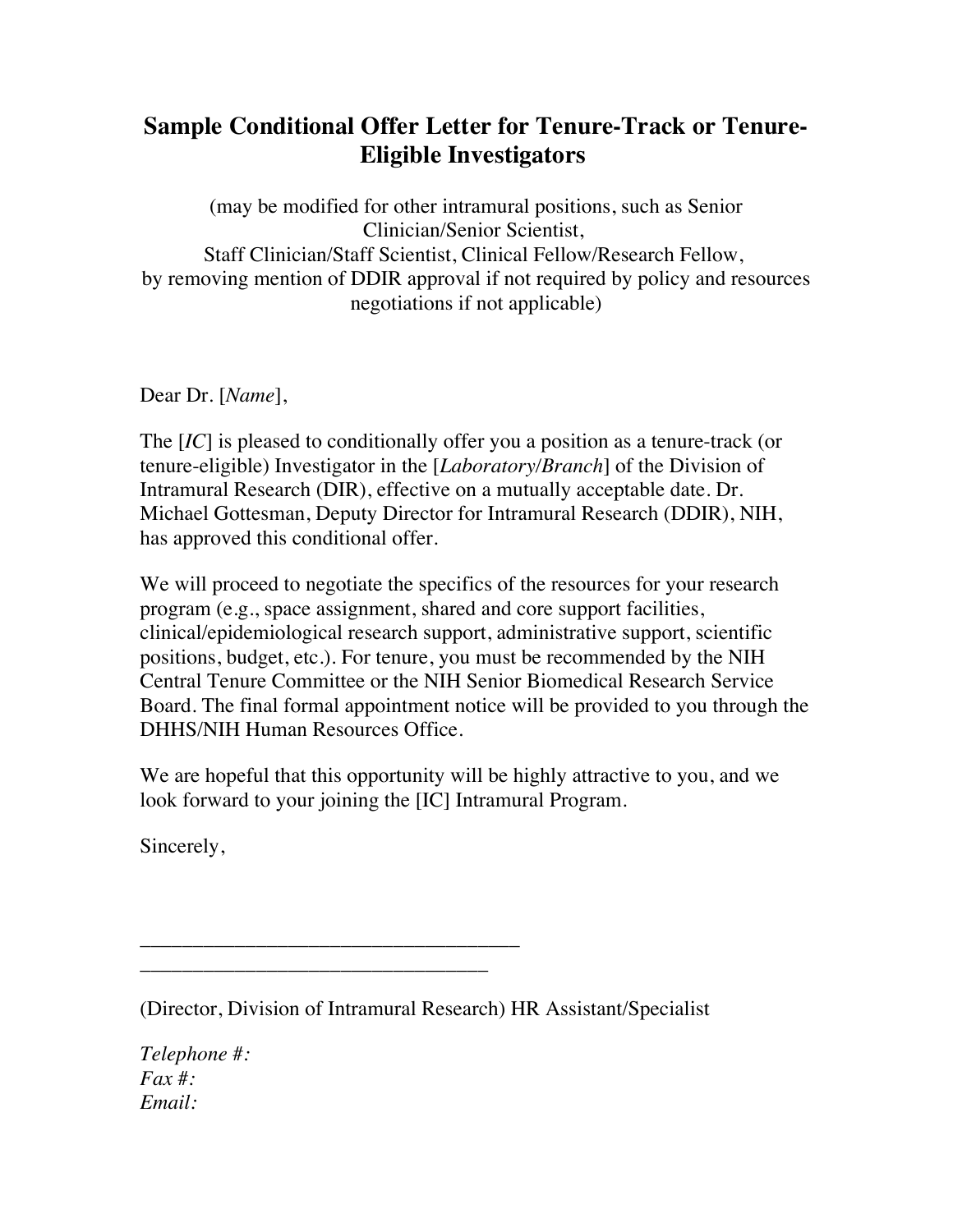## **Sample Conditional Offer Letter for Tenure-Track or Tenure-Eligible Investigators**

(may be modified for other intramural positions, such as Senior Clinician/Senior Scientist, Staff Clinician/Staff Scientist, Clinical Fellow/Research Fellow, by removing mention of DDIR approval if not required by policy and resources negotiations if not applicable)

Dear Dr. [*Name*],

The [*IC*] is pleased to conditionally offer you a position as a tenure-track (or tenure-eligible) Investigator in the [*Laboratory/Branch*] of the Division of Intramural Research (DIR), effective on a mutually acceptable date. Dr. Michael Gottesman, Deputy Director for Intramural Research (DDIR), NIH, has approved this conditional offer.

We will proceed to negotiate the specifics of the resources for your research program (e.g., space assignment, shared and core support facilities, clinical/epidemiological research support, administrative support, scientific positions, budget, etc.). For tenure, you must be recommended by the NIH Central Tenure Committee or the NIH Senior Biomedical Research Service Board. The final formal appointment notice will be provided to you through the DHHS/NIH Human Resources Office.

We are hopeful that this opportunity will be highly attractive to you, and we look forward to your joining the [IC] Intramural Program.

Sincerely,

(Director, Division of Intramural Research) HR Assistant/Specialist

\_\_\_\_\_\_\_\_\_\_\_\_\_\_\_\_\_\_\_\_\_\_\_\_\_\_\_\_\_\_\_\_\_\_\_\_ \_\_\_\_\_\_\_\_\_\_\_\_\_\_\_\_\_\_\_\_\_\_\_\_\_\_\_\_\_\_\_\_\_

*Telephone #: Fax #: Email:*